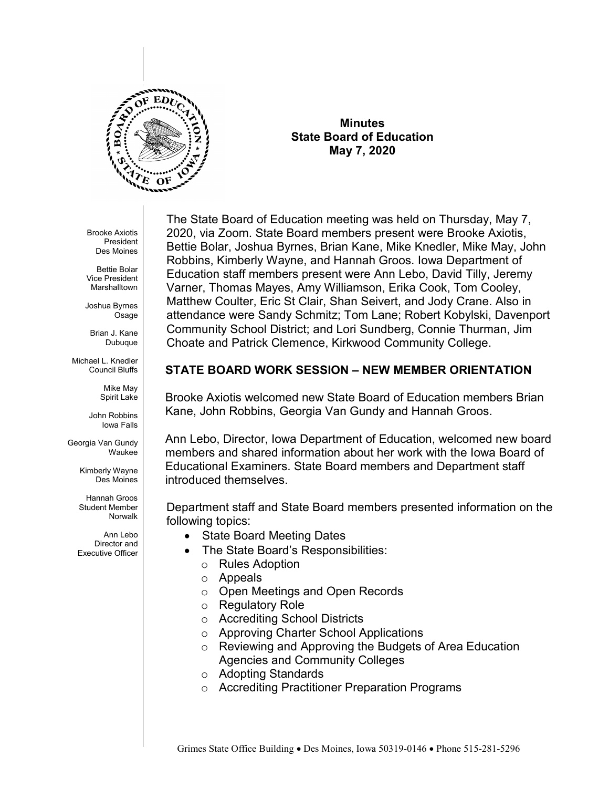

**Minutes State Board of Education May 7, 2020**

Brooke Axiotis President Des Moines

Bettie Bolar Vice President Marshalltown

Joshua Byrnes **Osage** 

Brian J. Kane Dubuque

Michael L. Knedler Council Bluffs

> Mike May Spirit Lake

John Robbins Iowa Falls

Georgia Van Gundy Waukee

> Kimberly Wayne Des Moines

Hannah Groos Student Member Norwalk

Ann Lebo Director and Executive Officer The State Board of Education meeting was held on Thursday, May 7, 2020, via Zoom. State Board members present were Brooke Axiotis, Bettie Bolar, Joshua Byrnes, Brian Kane, Mike Knedler, Mike May, John Robbins, Kimberly Wayne, and Hannah Groos. Iowa Department of Education staff members present were Ann Lebo, David Tilly, Jeremy Varner, Thomas Mayes, Amy Williamson, Erika Cook, Tom Cooley, Matthew Coulter, Eric St Clair, Shan Seivert, and Jody Crane. Also in attendance were Sandy Schmitz; Tom Lane; Robert Kobylski, Davenport Community School District; and Lori Sundberg, Connie Thurman, Jim Choate and Patrick Clemence, Kirkwood Community College.

## **STATE BOARD WORK SESSION – NEW MEMBER ORIENTATION**

Brooke Axiotis welcomed new State Board of Education members Brian Kane, John Robbins, Georgia Van Gundy and Hannah Groos.

Ann Lebo, Director, Iowa Department of Education, welcomed new board members and shared information about her work with the Iowa Board of Educational Examiners. State Board members and Department staff introduced themselves.

Department staff and State Board members presented information on the following topics:

- State Board Meeting Dates
- The State Board's Responsibilities:
	- o Rules Adoption
	- o Appeals
	- o Open Meetings and Open Records
	- o Regulatory Role
	- o Accrediting School Districts
	- o Approving Charter School Applications
	- o Reviewing and Approving the Budgets of Area Education Agencies and Community Colleges
	- o Adopting Standards
	- o Accrediting Practitioner Preparation Programs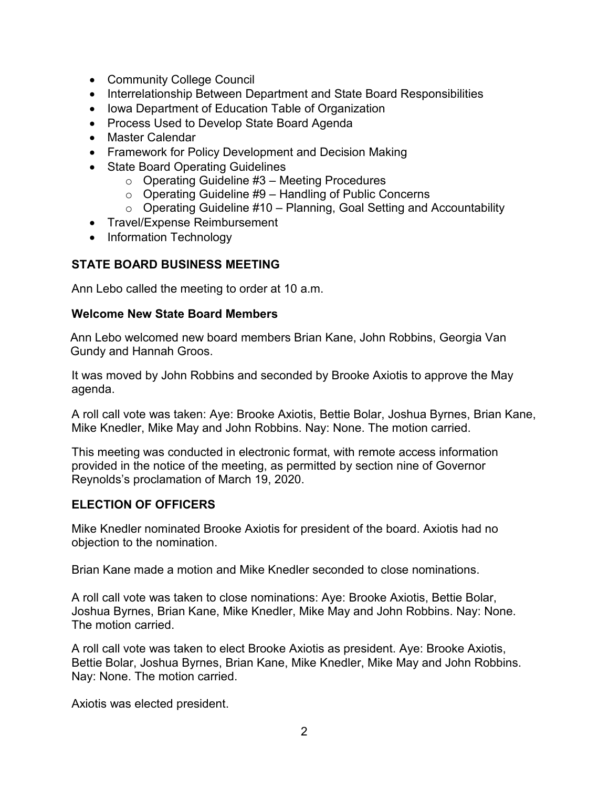- Community College Council
- Interrelationship Between Department and State Board Responsibilities
- Iowa Department of Education Table of Organization
- Process Used to Develop State Board Agenda
- Master Calendar
- Framework for Policy Development and Decision Making
- State Board Operating Guidelines
	- $\circ$  Operating Guideline #3 Meeting Procedures
	- $\circ$  Operating Guideline #9 Handling of Public Concerns
	- $\circ$  Operating Guideline #10 Planning, Goal Setting and Accountability
- Travel/Expense Reimbursement
- Information Technology

## **STATE BOARD BUSINESS MEETING**

Ann Lebo called the meeting to order at 10 a.m.

### **Welcome New State Board Members**

Ann Lebo welcomed new board members Brian Kane, John Robbins, Georgia Van Gundy and Hannah Groos.

It was moved by John Robbins and seconded by Brooke Axiotis to approve the May agenda.

A roll call vote was taken: Aye: Brooke Axiotis, Bettie Bolar, Joshua Byrnes, Brian Kane, Mike Knedler, Mike May and John Robbins. Nay: None. The motion carried.

This meeting was conducted in electronic format, with remote access information provided in the notice of the meeting, as permitted by section nine of Governor Reynolds's proclamation of March 19, 2020.

### **ELECTION OF OFFICERS**

Mike Knedler nominated Brooke Axiotis for president of the board. Axiotis had no objection to the nomination.

Brian Kane made a motion and Mike Knedler seconded to close nominations.

A roll call vote was taken to close nominations: Aye: Brooke Axiotis, Bettie Bolar, Joshua Byrnes, Brian Kane, Mike Knedler, Mike May and John Robbins. Nay: None. The motion carried.

A roll call vote was taken to elect Brooke Axiotis as president. Aye: Brooke Axiotis, Bettie Bolar, Joshua Byrnes, Brian Kane, Mike Knedler, Mike May and John Robbins. Nay: None. The motion carried.

Axiotis was elected president.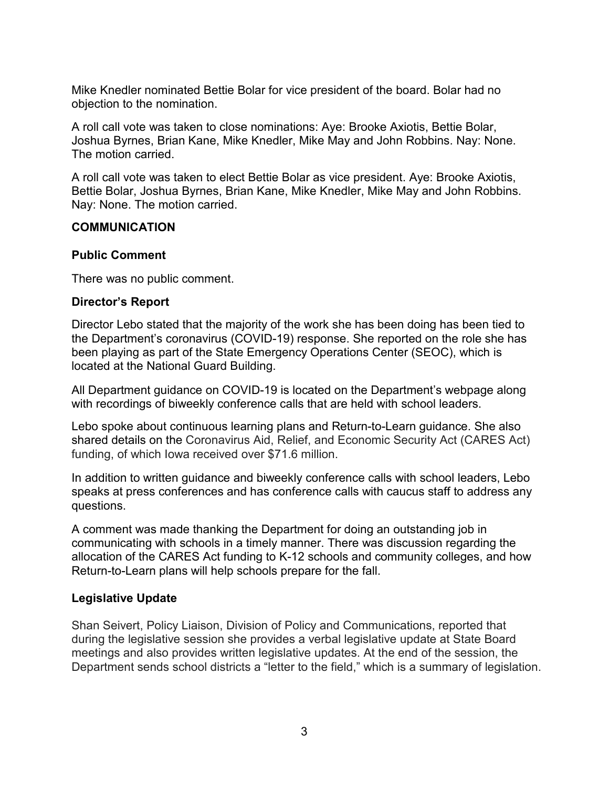Mike Knedler nominated Bettie Bolar for vice president of the board. Bolar had no objection to the nomination.

A roll call vote was taken to close nominations: Aye: Brooke Axiotis, Bettie Bolar, Joshua Byrnes, Brian Kane, Mike Knedler, Mike May and John Robbins. Nay: None. The motion carried.

A roll call vote was taken to elect Bettie Bolar as vice president. Aye: Brooke Axiotis, Bettie Bolar, Joshua Byrnes, Brian Kane, Mike Knedler, Mike May and John Robbins. Nay: None. The motion carried.

### **COMMUNICATION**

## **Public Comment**

There was no public comment.

## **Director's Report**

Director Lebo stated that the majority of the work she has been doing has been tied to the Department's coronavirus (COVID-19) response. She reported on the role she has been playing as part of the State Emergency Operations Center (SEOC), which is located at the National Guard Building.

All Department guidance on COVID-19 is located on the Department's webpage along with recordings of biweekly conference calls that are held with school leaders.

Lebo spoke about continuous learning plans and Return-to-Learn guidance. She also shared details on the Coronavirus Aid, Relief, and Economic Security Act (CARES Act) funding, of which Iowa received over \$71.6 million.

In addition to written guidance and biweekly conference calls with school leaders, Lebo speaks at press conferences and has conference calls with caucus staff to address any questions.

A comment was made thanking the Department for doing an outstanding job in communicating with schools in a timely manner. There was discussion regarding the allocation of the CARES Act funding to K-12 schools and community colleges, and how Return-to-Learn plans will help schools prepare for the fall.

## **Legislative Update**

Shan Seivert, Policy Liaison, Division of Policy and Communications, reported that during the legislative session she provides a verbal legislative update at State Board meetings and also provides written legislative updates. At the end of the session, the Department sends school districts a "letter to the field," which is a summary of legislation.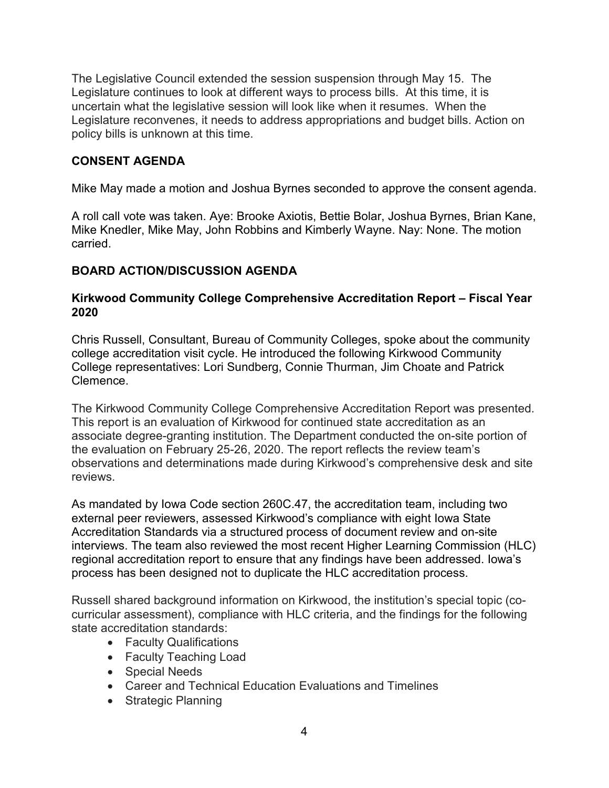The Legislative Council extended the session suspension through May 15. The Legislature continues to look at different ways to process bills. At this time, it is uncertain what the legislative session will look like when it resumes. When the Legislature reconvenes, it needs to address appropriations and budget bills. Action on policy bills is unknown at this time.

## **CONSENT AGENDA**

Mike May made a motion and Joshua Byrnes seconded to approve the consent agenda.

A roll call vote was taken. Aye: Brooke Axiotis, Bettie Bolar, Joshua Byrnes, Brian Kane, Mike Knedler, Mike May, John Robbins and Kimberly Wayne. Nay: None. The motion carried.

# **BOARD ACTION/DISCUSSION AGENDA**

## **Kirkwood Community College Comprehensive Accreditation Report – Fiscal Year 2020**

Chris Russell, Consultant, Bureau of Community Colleges, spoke about the community college accreditation visit cycle. He introduced the following Kirkwood Community College representatives: Lori Sundberg, Connie Thurman, Jim Choate and Patrick Clemence.

The Kirkwood Community College Comprehensive Accreditation Report was presented. This report is an evaluation of Kirkwood for continued state accreditation as an associate degree-granting institution. The Department conducted the on-site portion of the evaluation on February 25-26, 2020. The report reflects the review team's observations and determinations made during Kirkwood's comprehensive desk and site reviews.

As mandated by Iowa Code section 260C.47, the accreditation team, including two external peer reviewers, assessed Kirkwood's compliance with eight Iowa State Accreditation Standards via a structured process of document review and on-site interviews. The team also reviewed the most recent Higher Learning Commission (HLC) regional accreditation report to ensure that any findings have been addressed. Iowa's process has been designed not to duplicate the HLC accreditation process.

Russell shared background information on Kirkwood, the institution's special topic (cocurricular assessment), compliance with HLC criteria, and the findings for the following state accreditation standards:

- Faculty Qualifications
- Faculty Teaching Load
- Special Needs
- Career and Technical Education Evaluations and Timelines
- Strategic Planning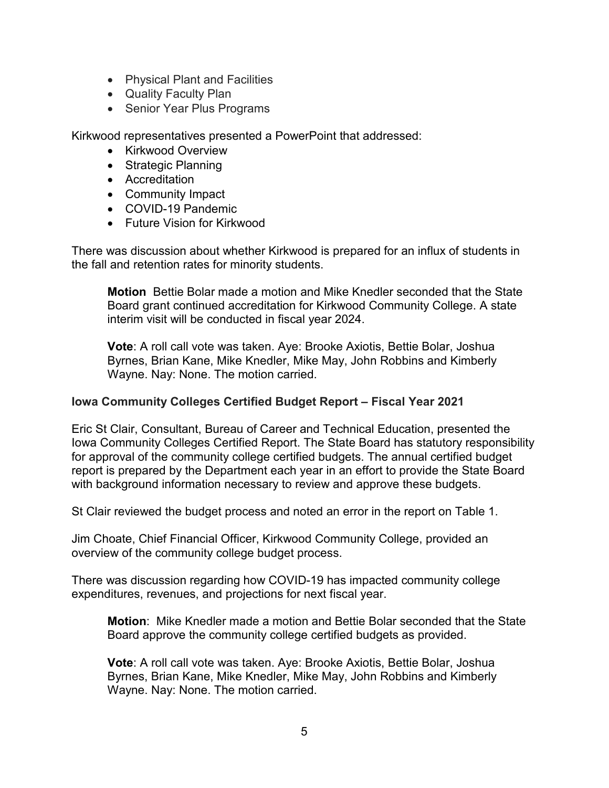- Physical Plant and Facilities
- Quality Faculty Plan
- Senior Year Plus Programs

Kirkwood representatives presented a PowerPoint that addressed:

- Kirkwood Overview
- Strategic Planning
- Accreditation
- Community Impact
- COVID-19 Pandemic
- Future Vision for Kirkwood

There was discussion about whether Kirkwood is prepared for an influx of students in the fall and retention rates for minority students.

**Motion** Bettie Bolar made a motion and Mike Knedler seconded that the State Board grant continued accreditation for Kirkwood Community College. A state interim visit will be conducted in fiscal year 2024.

**Vote**: A roll call vote was taken. Aye: Brooke Axiotis, Bettie Bolar, Joshua Byrnes, Brian Kane, Mike Knedler, Mike May, John Robbins and Kimberly Wayne. Nay: None. The motion carried.

### **Iowa Community Colleges Certified Budget Report – Fiscal Year 2021**

Eric St Clair, Consultant, Bureau of Career and Technical Education, presented the Iowa Community Colleges Certified Report. The State Board has statutory responsibility for approval of the community college certified budgets. The annual certified budget report is prepared by the Department each year in an effort to provide the State Board with background information necessary to review and approve these budgets.

St Clair reviewed the budget process and noted an error in the report on Table 1.

Jim Choate, Chief Financial Officer, Kirkwood Community College, provided an overview of the community college budget process.

There was discussion regarding how COVID-19 has impacted community college expenditures, revenues, and projections for next fiscal year.

**Motion**: Mike Knedler made a motion and Bettie Bolar seconded that the State Board approve the community college certified budgets as provided.

**Vote**: A roll call vote was taken. Aye: Brooke Axiotis, Bettie Bolar, Joshua Byrnes, Brian Kane, Mike Knedler, Mike May, John Robbins and Kimberly Wayne. Nay: None. The motion carried.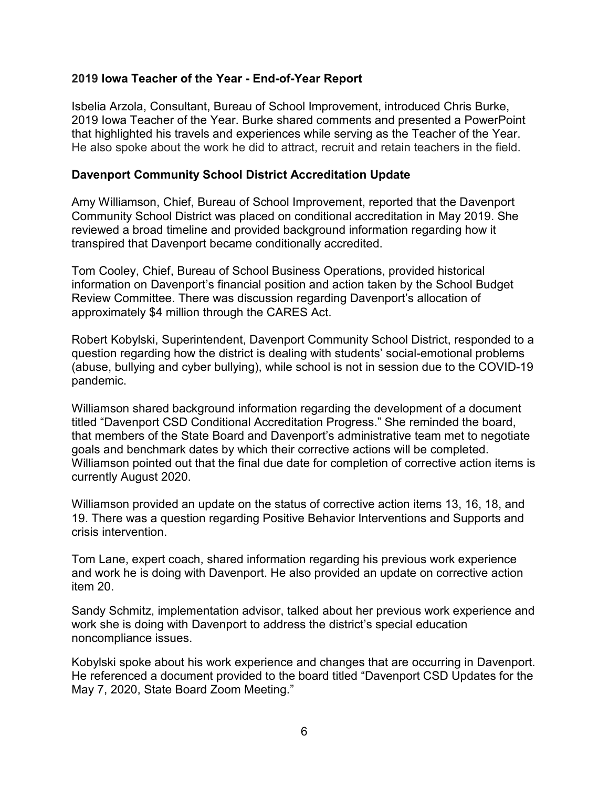### **2019 Iowa Teacher of the Year - End-of-Year Report**

Isbelia Arzola, Consultant, Bureau of School Improvement, introduced Chris Burke, 2019 Iowa Teacher of the Year. Burke shared comments and presented a PowerPoint that highlighted his travels and experiences while serving as the Teacher of the Year. He also spoke about the work he did to attract, recruit and retain teachers in the field.

#### **Davenport Community School District Accreditation Update**

Amy Williamson, Chief, Bureau of School Improvement, reported that the Davenport Community School District was placed on conditional accreditation in May 2019. She reviewed a broad timeline and provided background information regarding how it transpired that Davenport became conditionally accredited.

Tom Cooley, Chief, Bureau of School Business Operations, provided historical information on Davenport's financial position and action taken by the School Budget Review Committee. There was discussion regarding Davenport's allocation of approximately \$4 million through the CARES Act.

Robert Kobylski, Superintendent, Davenport Community School District, responded to a question regarding how the district is dealing with students' social-emotional problems (abuse, bullying and cyber bullying), while school is not in session due to the COVID-19 pandemic.

Williamson shared background information regarding the development of a document titled "Davenport CSD Conditional Accreditation Progress." She reminded the board, that members of the State Board and Davenport's administrative team met to negotiate goals and benchmark dates by which their corrective actions will be completed. Williamson pointed out that the final due date for completion of corrective action items is currently August 2020.

Williamson provided an update on the status of corrective action items 13, 16, 18, and 19. There was a question regarding Positive Behavior Interventions and Supports and crisis intervention.

Tom Lane, expert coach, shared information regarding his previous work experience and work he is doing with Davenport. He also provided an update on corrective action item 20.

Sandy Schmitz, implementation advisor, talked about her previous work experience and work she is doing with Davenport to address the district's special education noncompliance issues.

Kobylski spoke about his work experience and changes that are occurring in Davenport. He referenced a document provided to the board titled "Davenport CSD Updates for the May 7, 2020, State Board Zoom Meeting."